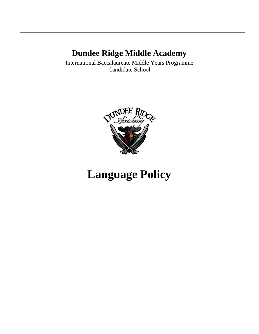## **Dundee Ridge Middle Academy**

International Baccalaureate Middle Years Programme Candidate School



# **Language Policy**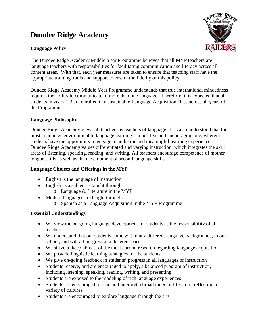### **Dundee Ridge Academy**

#### **Language Policy**



The Dundee Ridge Academy Middle Year Programme believes that all MYP teachers are language teachers with responsibilities for facilitating communication and literacy across all content areas. With that, each year measures are taken to ensure that teaching staff have the appropriate training, tools and support to ensure the fidelity of this policy.

Dundee Ridge Academy Middle Year Programme understands that true international mindedness requires the ability to communicate in more than one language. Therefore, it is expected that all students in years 1-3 are enrolled in a sustainable Language Acquisition class across all years of the Programme.

#### **Language Philosophy**

Dundee Ridge Academy views all teachers as teachers of language. It is also understood that the most conducive environment to language learning is a positive and encouraging one, wherein students have the opportunity to engage in authentic and meaningful learning experiences. Dundee Ridge Academy values differentiated and varying instruction, which integrates the skill areas of listening, speaking, reading, and writing. All teachers encourage competence of mother tongue skills as well as the development of second language skills.

#### **Language Choices and Offerings in the MYP**

- English is the language of instruction
- English as a subject is taught through:
	- o Language & Literature in the MYP
- Modern languages are taught through:
	- o Spanish as a Language Acquisition in the MYP Programme

#### **Essential Understandings**

- We view the on-going language development for students as the responsibility of all teachers
- We understand that our students come with many different language backgrounds, to our school, and will all progress at a different pace
- We strive to keep abreast of the most current research regarding language acquisition
- We provide linguistic learning strategies for the students
- We give on-going feedback in students' progress in all languages of instruction
- Students receive, and are encouraged to apply, a balanced program of instruction, including listening, speaking, reading, writing, and presenting
- Students are exposed to the modeling of rich language experiences
- Students are encouraged to read and interpret a broad range of literature, reflecting a variety of cultures
- Students are encouraged to explore language through the arts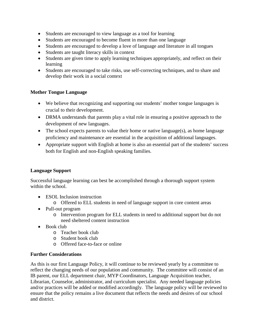- Students are encouraged to view language as a tool for learning
- Students are encouraged to become fluent in more than one language
- Students are encouraged to develop a love of language and literature in all tongues
- Students are taught literacy skills in context
- Students are given time to apply learning techniques appropriately, and reflect on their learning
- Students are encouraged to take risks, use self-correcting techniques, and to share and develop their work in a social context

#### **Mother Tongue Language**

- We believe that recognizing and supporting our students' mother tongue languages is crucial to their development.
- DRMA understands that parents play a vital role in ensuring a positive approach to the development of new languages.
- The school expects parents to value their home or native language(s), as home language proficiency and maintenance are essential in the acquisition of additional languages.
- Appropriate support with English at home is also an essential part of the students' success both for English and non-English speaking families.

#### **Language Support**

Successful language learning can best be accomplished through a thorough support system within the school.

- ESOL Inclusion instruction
	- o Offered to ELL students in need of language support in core content areas
- Pull-out program
	- o Intervention program for ELL students in need to additional support but do not need sheltered content instruction
- Book club
	- o Teacher book club
	- o Student book club
	- o Offered face-to-face or online

#### **Further Considerations**

As this is our first Language Policy, it will continue to be reviewed yearly by a committee to reflect the changing needs of our population and community. The committee will consist of an IB parent, our ELL department chair, MYP Coordinators, Language Acquisition teacher, Librarian, Counselor, administrator, and curriculum specialist. Any needed language policies and/or practices will be added or modified accordingly. The language policy will be reviewed to ensure that the policy remains a live document that reflects the needs and desires of our school and district.